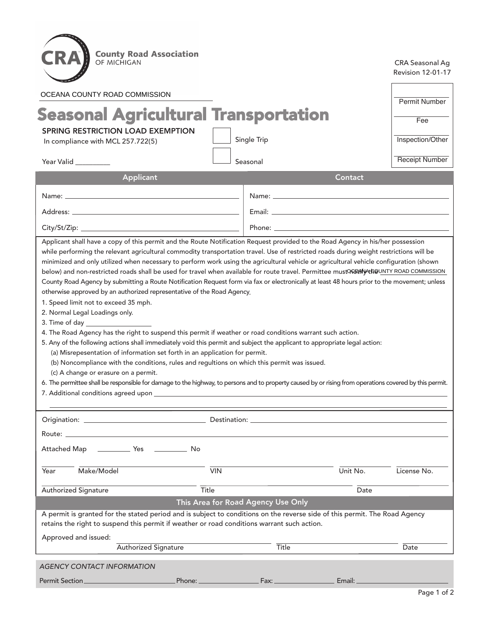

CRA Seasonal Ag Revision 12-01-17

| OCEANA COUNTY ROAD COMMISSION                                                                                                                                                                                                                                                          |                               |              |          |                       |  |  |
|----------------------------------------------------------------------------------------------------------------------------------------------------------------------------------------------------------------------------------------------------------------------------------------|-------------------------------|--------------|----------|-----------------------|--|--|
| <b>Seasonal Agricultural Transportation</b>                                                                                                                                                                                                                                            |                               |              |          |                       |  |  |
| <b>SPRING RESTRICTION LOAD EXEMPTION</b>                                                                                                                                                                                                                                               |                               |              |          | Fee                   |  |  |
| In compliance with MCL 257.722(5)                                                                                                                                                                                                                                                      |                               | Single Trip  |          | Inspection/Other      |  |  |
| Year Valid                                                                                                                                                                                                                                                                             |                               | Seasonal     |          | <b>Receipt Number</b> |  |  |
| Applicant                                                                                                                                                                                                                                                                              |                               |              | Contact  |                       |  |  |
|                                                                                                                                                                                                                                                                                        |                               |              |          |                       |  |  |
|                                                                                                                                                                                                                                                                                        |                               |              |          |                       |  |  |
|                                                                                                                                                                                                                                                                                        |                               |              |          |                       |  |  |
| Applicant shall have a copy of this permit and the Route Notification Request provided to the Road Agency in his/her possession                                                                                                                                                        |                               |              |          |                       |  |  |
| while performing the relevant agricultural commodity transportation travel. Use of restricted roads during weight restrictions will be                                                                                                                                                 |                               |              |          |                       |  |  |
| minimized and only utilized when necessary to perform work using the agricultural vehicle or agricultural vehicle configuration (shown                                                                                                                                                 |                               |              |          |                       |  |  |
| below) and non-restricted roads shall be used for travel when available for route travel. Permittee mustOREANY+th@UNTY ROAD COMMISSION<br>County Road Agency by submitting a Route Notification Request form via fax or electronically at least 48 hours prior to the movement; unless |                               |              |          |                       |  |  |
| otherwise approved by an authorized representative of the Road Agency.                                                                                                                                                                                                                 |                               |              |          |                       |  |  |
| 1. Speed limit not to exceed 35 mph.                                                                                                                                                                                                                                                   |                               |              |          |                       |  |  |
| 2. Normal Legal Loadings only.                                                                                                                                                                                                                                                         |                               |              |          |                       |  |  |
| 4. The Road Agency has the right to suspend this permit if weather or road conditions warrant such action.                                                                                                                                                                             |                               |              |          |                       |  |  |
| 5. Any of the following actions shall immediately void this permit and subject the applicant to appropriate legal action:                                                                                                                                                              |                               |              |          |                       |  |  |
| (a) Misrepesentation of information set forth in an application for permit.                                                                                                                                                                                                            |                               |              |          |                       |  |  |
| (b) Noncompliance with the conditions, rules and regultions on which this permit was issued.                                                                                                                                                                                           |                               |              |          |                       |  |  |
| (c) A change or erasure on a permit.                                                                                                                                                                                                                                                   |                               |              |          |                       |  |  |
| 6. The permittee shall be responsible for damage to the highway, to persons and to property caused by or rising from operations covered by this permit.                                                                                                                                |                               |              |          |                       |  |  |
|                                                                                                                                                                                                                                                                                        |                               |              |          |                       |  |  |
|                                                                                                                                                                                                                                                                                        |                               |              |          |                       |  |  |
| Route: _                                                                                                                                                                                                                                                                               |                               |              |          |                       |  |  |
| Attached Map<br><b>Nes</b><br>in a bhfuill a bha na bh                                                                                                                                                                                                                                 |                               |              |          |                       |  |  |
| Make/Model<br>Year                                                                                                                                                                                                                                                                     | $\overline{V}$ <sub>VIN</sub> |              | Unit No. | License No.           |  |  |
| <b>Authorized Signature</b>                                                                                                                                                                                                                                                            | Title                         |              | Date     |                       |  |  |
| This Area for Road Agency Use Only                                                                                                                                                                                                                                                     |                               |              |          |                       |  |  |
| A permit is granted for the stated period and is subject to conditions on the reverse side of this permit. The Road Agency<br>retains the right to suspend this permit if weather or road conditions warrant such action.                                                              |                               |              |          |                       |  |  |
| Approved and issued:                                                                                                                                                                                                                                                                   |                               |              |          |                       |  |  |
| <b>Authorized Signature</b>                                                                                                                                                                                                                                                            |                               | <b>Title</b> |          | Date                  |  |  |
| <b>AGENCY CONTACT INFORMATION</b>                                                                                                                                                                                                                                                      |                               |              |          |                       |  |  |
| Permit Section_<br>Phone: _                                                                                                                                                                                                                                                            |                               | Fax:         | Email:   |                       |  |  |